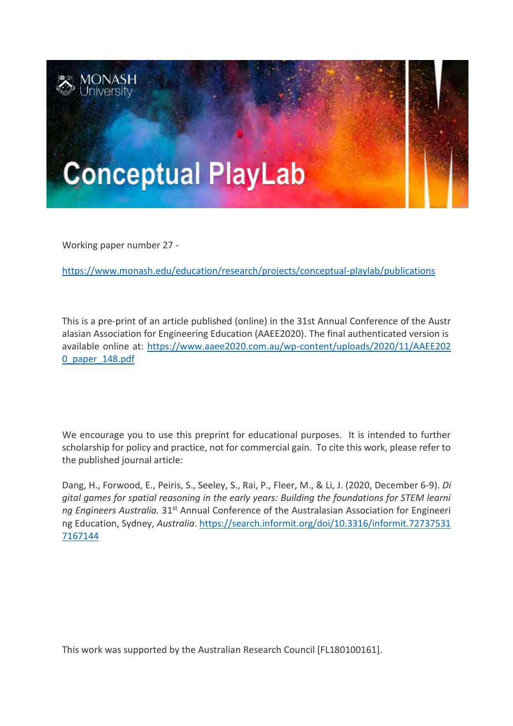

Working paper number 27 -

<https://www.monash.edu/education/research/projects/conceptual-playlab/publications>

This is a pre-print of an article published (online) in the 31st Annual Conference of the Austr alasian Association for Engineering Education (AAEE2020). The final authenticated version is available online at: [https://www.aaee2020.com.au/wp-content/uploads/2020/11/AAEE202](https://www.aaee2020.com.au/wp-content/uploads/2020/11/AAEE2020_paper_148.pdf) [0\\_paper\\_148.pdf](https://www.aaee2020.com.au/wp-content/uploads/2020/11/AAEE2020_paper_148.pdf)

We encourage you to use this preprint for educational purposes. It is intended to further scholarship for policy and practice, not for commercial gain. To cite this work, please refer to the published journal article:

Dang, H., Forwood, E., Peiris, S., Seeley, S., Rai, P., Fleer, M., & Li, J. (2020, December 6-9). *Di gital games for spatial reasoning in the early years: Building the foundations for STEM learni ng Engineers Australia.* 31st Annual Conference of the Australasian Association for Engineeri ng Education, Sydney, *Australia*. [https://search.informit.org/doi/10.3316/informit.72737531](https://search.informit.org/doi/10.3316/informit.727375317167144) [7167144](https://search.informit.org/doi/10.3316/informit.727375317167144)

This work was supported by the Australian Research Council [FL180100161].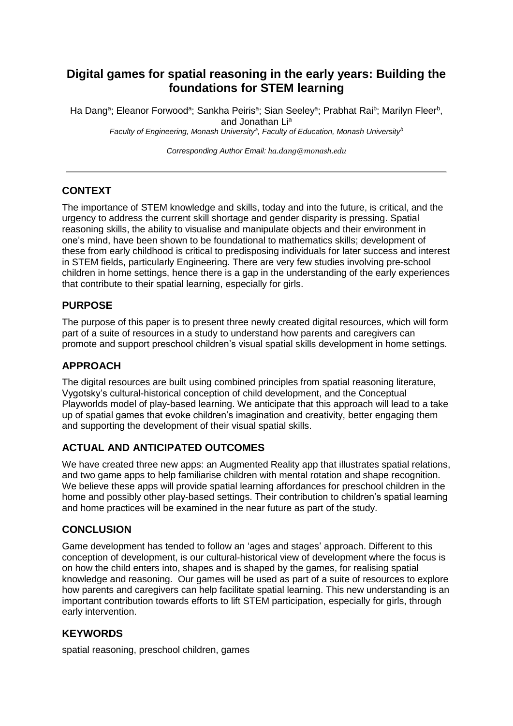# **Digital games for spatial reasoning in the early years: Building the foundations for STEM learning**

Ha Dang<sup>a</sup>; Eleanor Forwood<sup>a</sup>; Sankha Peiris<sup>a</sup>; Sian Seeley<sup>a</sup>; Prabhat Rai<sup>b</sup>; Marilyn Fleer<sup>b</sup>, and Jonathan Li<sup>a</sup> Faculty of Engineering, Monash University<sup>a</sup>, Faculty of Education, Monash University<sup>*b*</sup>

*Corresponding Author Email: ha.dang@monash.edu*

## **CONTEXT**

The importance of STEM knowledge and skills, today and into the future, is critical, and the urgency to address the current skill shortage and gender disparity is pressing. Spatial reasoning skills, the ability to visualise and manipulate objects and their environment in one's mind, have been shown to be foundational to mathematics skills; development of these from early childhood is critical to predisposing individuals for later success and interest in STEM fields, particularly Engineering. There are very few studies involving pre-school children in home settings, hence there is a gap in the understanding of the early experiences that contribute to their spatial learning, especially for girls.

## **PURPOSE**

The purpose of this paper is to present three newly created digital resources, which will form part of a suite of resources in a study to understand how parents and caregivers can promote and support preschool children's visual spatial skills development in home settings.

## **APPROACH**

The digital resources are built using combined principles from spatial reasoning literature, Vygotsky's cultural-historical conception of child development, and the Conceptual Playworlds model of play-based learning. We anticipate that this approach will lead to a take up of spatial games that evoke children's imagination and creativity, better engaging them and supporting the development of their visual spatial skills.

## **ACTUAL AND ANTICIPATED OUTCOMES**

We have created three new apps: an Augmented Reality app that illustrates spatial relations, and two game apps to help familiarise children with mental rotation and shape recognition. We believe these apps will provide spatial learning affordances for preschool children in the home and possibly other play-based settings. Their contribution to children's spatial learning and home practices will be examined in the near future as part of the study.

## **CONCLUSION**

Game development has tended to follow an 'ages and stages' approach. Different to this conception of development, is our cultural-historical view of development where the focus is on how the child enters into, shapes and is shaped by the games, for realising spatial knowledge and reasoning. Our games will be used as part of a suite of resources to explore how parents and caregivers can help facilitate spatial learning. This new understanding is an important contribution towards efforts to lift STEM participation, especially for girls, through early intervention.

## **KEYWORDS**

spatial reasoning, preschool children, games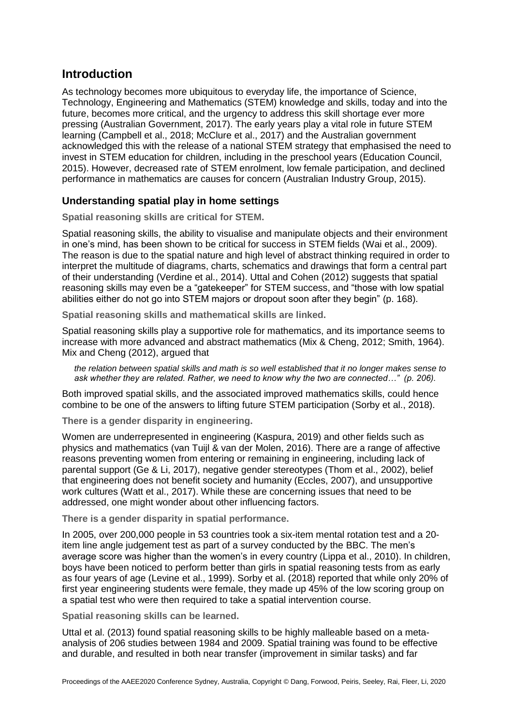# **Introduction**

As technology becomes more ubiquitous to everyday life, the importance of Science, Technology, Engineering and Mathematics (STEM) knowledge and skills, today and into the future, becomes more critical, and the urgency to address this skill shortage ever more pressing (Australian Government, 2017). The early years play a vital role in future STEM learning (Campbell et al., 2018; McClure et al., 2017) and the Australian government acknowledged this with the release of a national STEM strategy that emphasised the need to invest in STEM education for children, including in the preschool years (Education Council, 2015). However, decreased rate of STEM enrolment, low female participation, and declined performance in mathematics are causes for concern (Australian Industry Group, 2015).

## **Understanding spatial play in home settings**

**Spatial reasoning skills are critical for STEM.**

Spatial reasoning skills, the ability to visualise and manipulate objects and their environment in one's mind, has been shown to be critical for success in STEM fields (Wai et al., 2009). The reason is due to the spatial nature and high level of abstract thinking required in order to interpret the multitude of diagrams, charts, schematics and drawings that form a central part of their understanding (Verdine et al., 2014). Uttal and Cohen (2012) suggests that spatial reasoning skills may even be a "gatekeeper" for STEM success, and "those with low spatial abilities either do not go into STEM majors or dropout soon after they begin" (p. 168).

**Spatial reasoning skills and mathematical skills are linked.**

Spatial reasoning skills play a supportive role for mathematics, and its importance seems to increase with more advanced and abstract mathematics (Mix & Cheng, 2012; Smith, 1964). Mix and Cheng (2012), argued that

*the relation between spatial skills and math is so well established that it no longer makes sense to ask whether they are related. Rather, we need to know why the two are connected…" (p. 206).*

Both improved spatial skills, and the associated improved mathematics skills, could hence combine to be one of the answers to lifting future STEM participation (Sorby et al., 2018).

**There is a gender disparity in engineering.**

Women are underrepresented in engineering (Kaspura, 2019) and other fields such as physics and mathematics (van Tuijl & van der Molen, 2016). There are a range of affective reasons preventing women from entering or remaining in engineering, including lack of parental support (Ge & Li, 2017), negative gender stereotypes (Thom et al., 2002), belief that engineering does not benefit society and humanity (Eccles, 2007), and unsupportive work cultures (Watt et al., 2017). While these are concerning issues that need to be addressed, one might wonder about other influencing factors.

**There is a gender disparity in spatial performance.**

In 2005, over 200,000 people in 53 countries took a six-item mental rotation test and a 20 item line angle judgement test as part of a survey conducted by the BBC. The men's average score was higher than the women's in every country (Lippa et al., 2010). In children, boys have been noticed to perform better than girls in spatial reasoning tests from as early as four years of age (Levine et al., 1999). Sorby et al. (2018) reported that while only 20% of first year engineering students were female, they made up 45% of the low scoring group on a spatial test who were then required to take a spatial intervention course.

**Spatial reasoning skills can be learned.**

Uttal et al. (2013) found spatial reasoning skills to be highly malleable based on a metaanalysis of 206 studies between 1984 and 2009. Spatial training was found to be effective and durable, and resulted in both near transfer (improvement in similar tasks) and far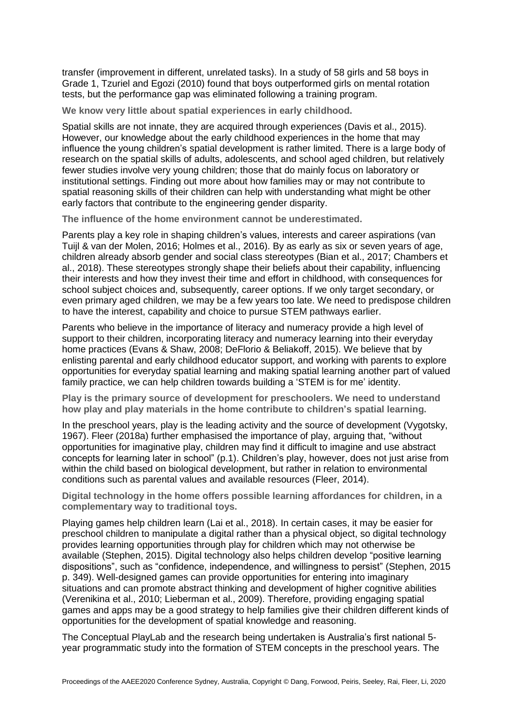transfer (improvement in different, unrelated tasks). In a study of 58 girls and 58 boys in Grade 1, Tzuriel and Egozi (2010) found that boys outperformed girls on mental rotation tests, but the performance gap was eliminated following a training program.

**We know very little about spatial experiences in early childhood.**

Spatial skills are not innate, they are acquired through experiences (Davis et al., 2015). However, our knowledge about the early childhood experiences in the home that may influence the young children's spatial development is rather limited. There is a large body of research on the spatial skills of adults, adolescents, and school aged children, but relatively fewer studies involve very young children; those that do mainly focus on laboratory or institutional settings. Finding out more about how families may or may not contribute to spatial reasoning skills of their children can help with understanding what might be other early factors that contribute to the engineering gender disparity.

**The influence of the home environment cannot be underestimated.**

Parents play a key role in shaping children's values, interests and career aspirations (van Tuijl & van der Molen, 2016; Holmes et al., 2016). By as early as six or seven years of age, children already absorb gender and social class stereotypes (Bian et al., 2017; Chambers et al., 2018). These stereotypes strongly shape their beliefs about their capability, influencing their interests and how they invest their time and effort in childhood, with consequences for school subject choices and, subsequently, career options. If we only target secondary, or even primary aged children, we may be a few years too late. We need to predispose children to have the interest, capability and choice to pursue STEM pathways earlier.

Parents who believe in the importance of literacy and numeracy provide a high level of support to their children, incorporating literacy and numeracy learning into their everyday home practices (Evans & Shaw, 2008; DeFlorio & Beliakoff, 2015). We believe that by enlisting parental and early childhood educator support, and working with parents to explore opportunities for everyday spatial learning and making spatial learning another part of valued family practice, we can help children towards building a 'STEM is for me' identity.

**Play is the primary source of development for preschoolers. We need to understand how play and play materials in the home contribute to children's spatial learning.**

In the preschool years, play is the leading activity and the source of development (Vygotsky, 1967). Fleer (2018a) further emphasised the importance of play, arguing that, "without opportunities for imaginative play, children may find it difficult to imagine and use abstract concepts for learning later in school" (p.1). Children's play, however, does not just arise from within the child based on biological development, but rather in relation to environmental conditions such as parental values and available resources (Fleer, 2014).

**Digital technology in the home offers possible learning affordances for children, in a complementary way to traditional toys.** 

Playing games help children learn (Lai et al., 2018). In certain cases, it may be easier for preschool children to manipulate a digital rather than a physical object, so digital technology provides learning opportunities through play for children which may not otherwise be available (Stephen, 2015). Digital technology also helps children develop "positive learning dispositions", such as "confidence, independence, and willingness to persist" (Stephen, 2015 p. 349). Well-designed games can provide opportunities for entering into imaginary situations and can promote abstract thinking and development of higher cognitive abilities (Verenikina et al., 2010; Lieberman et al., 2009). Therefore, providing engaging spatial games and apps may be a good strategy to help families give their children different kinds of opportunities for the development of spatial knowledge and reasoning.

The Conceptual PlayLab and the research being undertaken is Australia's first national 5 year programmatic study into the formation of STEM concepts in the preschool years. The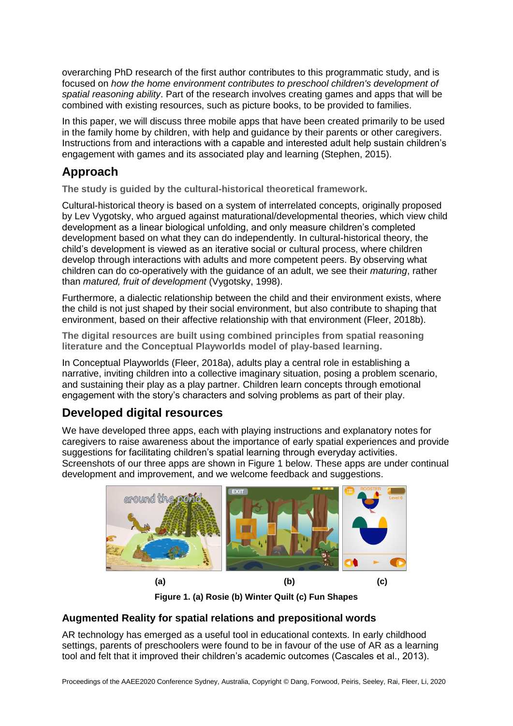overarching PhD research of the first author contributes to this programmatic study, and is focused on *how the home environment contributes to preschool children's development of spatial reasoning ability*. Part of the research involves creating games and apps that will be combined with existing resources, such as picture books, to be provided to families.

In this paper, we will discuss three mobile apps that have been created primarily to be used in the family home by children, with help and guidance by their parents or other caregivers. Instructions from and interactions with a capable and interested adult help sustain children's engagement with games and its associated play and learning (Stephen, 2015).

# **Approach**

**The study is guided by the cultural-historical theoretical framework.** 

Cultural-historical theory is based on a system of interrelated concepts, originally proposed by Lev Vygotsky, who argued against maturational/developmental theories, which view child development as a linear biological unfolding, and only measure children's completed development based on what they can do independently. In cultural-historical theory, the child's development is viewed as an iterative social or cultural process, where children develop through interactions with adults and more competent peers. By observing what children can do co-operatively with the guidance of an adult, we see their *maturing*, rather than *matured, fruit of development* (Vygotsky, 1998).

Furthermore, a dialectic relationship between the child and their environment exists, where the child is not just shaped by their social environment, but also contribute to shaping that environment, based on their affective relationship with that environment (Fleer, 2018b).

**The digital resources are built using combined principles from spatial reasoning literature and the Conceptual Playworlds model of play-based learning.**

In Conceptual Playworlds (Fleer, 2018a), adults play a central role in establishing a narrative, inviting children into a collective imaginary situation, posing a problem scenario, and sustaining their play as a play partner. Children learn concepts through emotional engagement with the story's characters and solving problems as part of their play.

# **Developed digital resources**

We have developed three apps, each with playing instructions and explanatory notes for caregivers to raise awareness about the importance of early spatial experiences and provide suggestions for facilitating children's spatial learning through everyday activities. Screenshots of our three apps are shown in Figure 1 below. These apps are under continual development and improvement, and we welcome feedback and suggestions.



**Figure 1. (a) Rosie (b) Winter Quilt (c) Fun Shapes**

## **Augmented Reality for spatial relations and prepositional words**

AR technology has emerged as a useful tool in educational contexts. In early childhood settings, parents of preschoolers were found to be in favour of the use of AR as a learning tool and felt that it improved their children's academic outcomes (Cascales et al., 2013).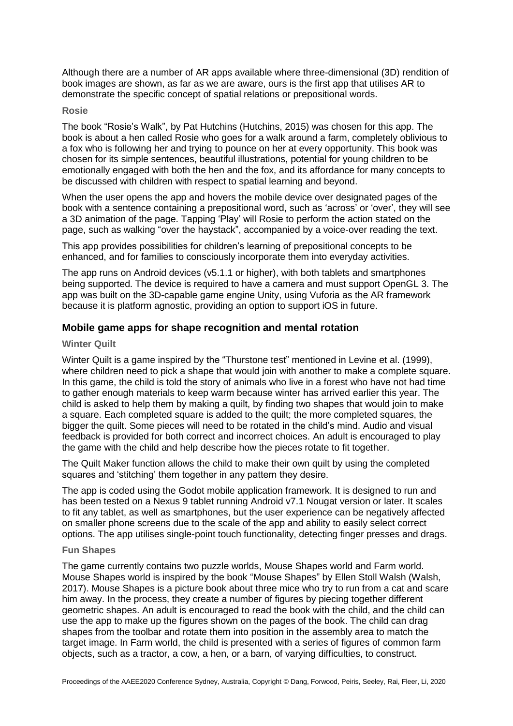Although there are a number of AR apps available where three-dimensional (3D) rendition of book images are shown, as far as we are aware, ours is the first app that utilises AR to demonstrate the specific concept of spatial relations or prepositional words.

#### **Rosie**

The book "Rosie's Walk", by Pat Hutchins (Hutchins, 2015) was chosen for this app. The book is about a hen called Rosie who goes for a walk around a farm, completely oblivious to a fox who is following her and trying to pounce on her at every opportunity. This book was chosen for its simple sentences, beautiful illustrations, potential for young children to be emotionally engaged with both the hen and the fox, and its affordance for many concepts to be discussed with children with respect to spatial learning and beyond.

When the user opens the app and hovers the mobile device over designated pages of the book with a sentence containing a prepositional word, such as 'across' or 'over', they will see a 3D animation of the page. Tapping 'Play' will Rosie to perform the action stated on the page, such as walking "over the haystack", accompanied by a voice-over reading the text.

This app provides possibilities for children's learning of prepositional concepts to be enhanced, and for families to consciously incorporate them into everyday activities.

The app runs on Android devices (v5.1.1 or higher), with both tablets and smartphones being supported. The device is required to have a camera and must support OpenGL 3. The app was built on the 3D-capable game engine Unity, using Vuforia as the AR framework because it is platform agnostic, providing an option to support iOS in future.

### **Mobile game apps for shape recognition and mental rotation**

#### **Winter Quilt**

Winter Quilt is a game inspired by the "Thurstone test" mentioned in Levine et al. (1999), where children need to pick a shape that would join with another to make a complete square. In this game, the child is told the story of animals who live in a forest who have not had time to gather enough materials to keep warm because winter has arrived earlier this year. The child is asked to help them by making a quilt, by finding two shapes that would join to make a square. Each completed square is added to the quilt; the more completed squares, the bigger the quilt. Some pieces will need to be rotated in the child's mind. Audio and visual feedback is provided for both correct and incorrect choices. An adult is encouraged to play the game with the child and help describe how the pieces rotate to fit together.

The Quilt Maker function allows the child to make their own quilt by using the completed squares and 'stitching' them together in any pattern they desire.

The app is coded using the Godot mobile application framework. It is designed to run and has been tested on a Nexus 9 tablet running Android v7.1 Nougat version or later. It scales to fit any tablet, as well as smartphones, but the user experience can be negatively affected on smaller phone screens due to the scale of the app and ability to easily select correct options. The app utilises single-point touch functionality, detecting finger presses and drags.

#### **Fun Shapes**

The game currently contains two puzzle worlds, Mouse Shapes world and Farm world. Mouse Shapes world is inspired by the book "Mouse Shapes" by Ellen Stoll Walsh (Walsh, 2017). Mouse Shapes is a picture book about three mice who try to run from a cat and scare him away. In the process, they create a number of figures by piecing together different geometric shapes. An adult is encouraged to read the book with the child, and the child can use the app to make up the figures shown on the pages of the book. The child can drag shapes from the toolbar and rotate them into position in the assembly area to match the target image. In Farm world, the child is presented with a series of figures of common farm objects, such as a tractor, a cow, a hen, or a barn, of varying difficulties, to construct.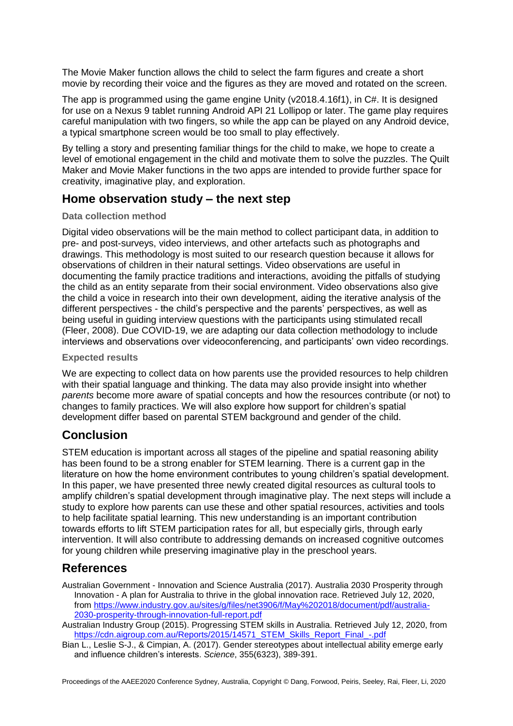The Movie Maker function allows the child to select the farm figures and create a short movie by recording their voice and the figures as they are moved and rotated on the screen.

The app is programmed using the game engine Unity (v2018.4.16f1), in C#. It is designed for use on a Nexus 9 tablet running Android API 21 Lollipop or later. The game play requires careful manipulation with two fingers, so while the app can be played on any Android device, a typical smartphone screen would be too small to play effectively.

By telling a story and presenting familiar things for the child to make, we hope to create a level of emotional engagement in the child and motivate them to solve the puzzles. The Quilt Maker and Movie Maker functions in the two apps are intended to provide further space for creativity, imaginative play, and exploration.

# **Home observation study – the next step**

### **Data collection method**

Digital video observations will be the main method to collect participant data, in addition to pre- and post-surveys, video interviews, and other artefacts such as photographs and drawings. This methodology is most suited to our research question because it allows for observations of children in their natural settings. Video observations are useful in documenting the family practice traditions and interactions, avoiding the pitfalls of studying the child as an entity separate from their social environment. Video observations also give the child a voice in research into their own development, aiding the iterative analysis of the different perspectives - the child's perspective and the parents' perspectives, as well as being useful in guiding interview questions with the participants using stimulated recall (Fleer, 2008). Due COVID-19, we are adapting our data collection methodology to include interviews and observations over videoconferencing, and participants' own video recordings.

### **Expected results**

We are expecting to collect data on how parents use the provided resources to help children with their spatial language and thinking. The data may also provide insight into whether *parents* become more aware of spatial concepts and how the resources contribute (or not) to changes to family practices. We will also explore how support for children's spatial development differ based on parental STEM background and gender of the child.

## **Conclusion**

STEM education is important across all stages of the pipeline and spatial reasoning ability has been found to be a strong enabler for STEM learning. There is a current gap in the literature on how the home environment contributes to young children's spatial development. In this paper, we have presented three newly created digital resources as cultural tools to amplify children's spatial development through imaginative play. The next steps will include a study to explore how parents can use these and other spatial resources, activities and tools to help facilitate spatial learning. This new understanding is an important contribution towards efforts to lift STEM participation rates for all, but especially girls, through early intervention. It will also contribute to addressing demands on increased cognitive outcomes for young children while preserving imaginative play in the preschool years.

## **References**

Australian Government - Innovation and Science Australia (2017). Australia 2030 Prosperity through Innovation - A plan for Australia to thrive in the global innovation race. Retrieved July 12, 2020, from [https://www.industry.gov.au/sites/g/files/net3906/f/May%202018/document/pdf/australia-](https://www.industry.gov.au/sites/g/files/net3906/f/May%202018/document/pdf/australia-2030-prosperity-through-innovation-full-report.pdf)[2030-prosperity-through-innovation-full-report.pdf](https://www.industry.gov.au/sites/g/files/net3906/f/May%202018/document/pdf/australia-2030-prosperity-through-innovation-full-report.pdf)

Australian Industry Group (2015). Progressing STEM skills in Australia. Retrieved July 12, 2020, from [https://cdn.aigroup.com.au/Reports/2015/14571\\_STEM\\_Skills\\_Report\\_Final\\_-.pdf](https://cdn.aigroup.com.au/Reports/2015/14571_STEM_Skills_Report_Final_-.pdf)

Bian L., Leslie S-J., & Cimpian, A. (2017). Gender stereotypes about intellectual ability emerge early and influence children's interests. *Science*, 355(6323), 389-391.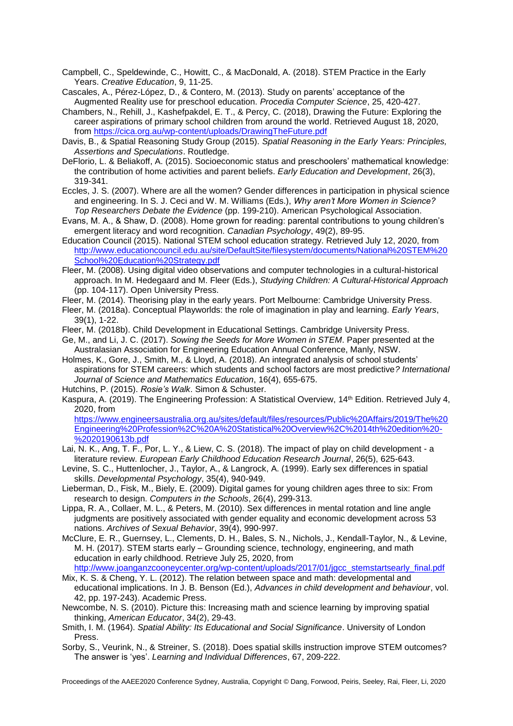- Campbell, C., Speldewinde, C., Howitt, C., & MacDonald, A. (2018). STEM Practice in the Early Years. *Creative Education*, 9, 11-25.
- Cascales, A., Pérez-López, D., & Contero, M. (2013). Study on parents' acceptance of the Augmented Reality use for preschool education. *Procedia Computer Science*, 25, 420-427.
- Chambers, N., Rehill, J., Kashefpakdel, E. T., & Percy, C. (2018), Drawing the Future: Exploring the career aspirations of primary school children from around the world. Retrieved August 18, 2020, from [https://cica.org.au/wp-content/uploads/DrawingTheFuture.pdf](https://cica.org.au/wp-content/uploads/DrawingTheFuture.pd)
- Davis, B., & Spatial Reasoning Study Group (2015). *Spatial Reasoning in the Early Years: Principles, Assertions and Speculations*. Routledge.
- DeFlorio, L. & Beliakoff, A. (2015). Socioeconomic status and preschoolers' mathematical knowledge: the contribution of home activities and parent beliefs. *Early Education and Development*, 26(3), 319-341.
- Eccles, J. S. (2007). Where are all the women? Gender differences in participation in physical science and engineering. In S. J. Ceci and W. M. Williams (Eds.), *Why aren't More Women in Science? Top Researchers Debate the Evidence* (pp. 199-210). American Psychological Association.
- Evans, M. A., & Shaw, D. (2008). Home grown for reading: parental contributions to young children's emergent literacy and word recognition. *Canadian Psychology*, 49(2), 89-95.
- Education Council (2015). National STEM school education strategy. Retrieved July 12, 2020, from [http://www.educationcouncil.edu.au/site/DefaultSite/filesystem/documents/National%20STEM%20](http://www.educationcouncil.edu.au/site/DefaultSite/filesystem/documents/National%20STEM%20School%20Education%20Strategy.pdf) [School%20Education%20Strategy.pdf](http://www.educationcouncil.edu.au/site/DefaultSite/filesystem/documents/National%20STEM%20School%20Education%20Strategy.pdf)
- Fleer, M. (2008). Using digital video observations and computer technologies in a cultural-historical approach. In M. Hedegaard and M. Fleer (Eds.), *Studying Children: A Cultural-Historical Approach* (pp. 104-117). Open University Press.
- Fleer, M. (2014). Theorising play in the early years. Port Melbourne: Cambridge University Press.
- Fleer, M. (2018a). Conceptual Playworlds: the role of imagination in play and learning. *Early Years*, 39(1), 1-22.
- Fleer, M. (2018b). Child Development in Educational Settings. Cambridge University Press.
- Ge, M., and Li, J. C. (2017). *Sowing the Seeds for More Women in STEM*. Paper presented at the Australasian Association for Engineering Education Annual Conference, Manly, NSW.
- Holmes, K., Gore, J., Smith, M., & Lloyd, A. (2018). An integrated analysis of school students' aspirations for STEM careers: which students and school factors are most predictive*? International Journal of Science and Mathematics Education*, 16(4), 655-675. Hutchins, P. (2015). *Rosie's Walk*. Simon & Schuster.
- Kaspura, A. (2019). The Engineering Profession: A Statistical Overview, 14th Edition. Retrieved July 4, 2020, from

[https://www.engineersaustralia.org.au/sites/default/files/resources/Public%20Affairs/2019/The%20](https://www.engineersaustralia.org.au/sites/default/files/resources/Public%20Affairs/2019/The%20Engineering%20Profession%2C%20A%20Statistical%20Overview%2C%2014th%20edition%20-%2020190613b.pdf) [Engineering%20Profession%2C%20A%20Statistical%20Overview%2C%2014th%20edition%20-](https://www.engineersaustralia.org.au/sites/default/files/resources/Public%20Affairs/2019/The%20Engineering%20Profession%2C%20A%20Statistical%20Overview%2C%2014th%20edition%20-%2020190613b.pdf) [%2020190613b.pdf](https://www.engineersaustralia.org.au/sites/default/files/resources/Public%20Affairs/2019/The%20Engineering%20Profession%2C%20A%20Statistical%20Overview%2C%2014th%20edition%20-%2020190613b.pdf)

- Lai, N. K., Ang, T. F., Por, L. Y., & Liew, C. S. (2018). The impact of play on child development a literature review. *European Early Childhood Education Research Journal*, 26(5), 625-643.
- Levine, S. C., Huttenlocher, J., Taylor, A., & Langrock, A. (1999). Early sex differences in spatial skills. *Developmental Psychology*, 35(4), 940-949.
- Lieberman, D., Fisk, M., Biely, E. (2009). Digital games for young children ages three to six: From research to design. *Computers in the Schools*, 26(4), 299-313.
- Lippa, R. A., Collaer, M. L., & Peters, M. (2010). Sex differences in mental rotation and line angle judgments are positively associated with gender equality and economic development across 53 nations. *Archives of Sexual Behavior*, 39(4), 990-997.
- McClure, E. R., Guernsey, L., Clements, D. H., Bales, S. N., Nichols, J., Kendall-Taylor, N., & Levine, M. H. (2017). STEM starts early – Grounding science, technology, engineering, and math education in early childhood. Retrieve July 25, 2020, from [http://www.joanganzcooneycenter.org/wp-content/uploads/2017/01/jgcc\\_stemstartsearly\\_final.pdf](http://www.joanganzcooneycenter.org/wp-content/uploads/2017/01/jgcc_stemstartsearly_final.pdf)
- Mix, K. S. & Cheng, Y. L. (2012). The relation between space and math: developmental and educational implications. In J. B. Benson (Ed.), *Advances in child development and behaviour*, vol. 42, pp. 197-243). Academic Press.
- Newcombe, N. S. (2010). Picture this: Increasing math and science learning by improving spatial thinking, *American Educator*, 34(2), 29-43.
- Smith, I. M. (1964). *Spatial Ability: Its Educational and Social Significance*. University of London Press.
- Sorby, S., Veurink, N., & Streiner, S. (2018). Does spatial skills instruction improve STEM outcomes? The answer is 'yes'. *Learning and Individual Differences*, 67, 209-222.